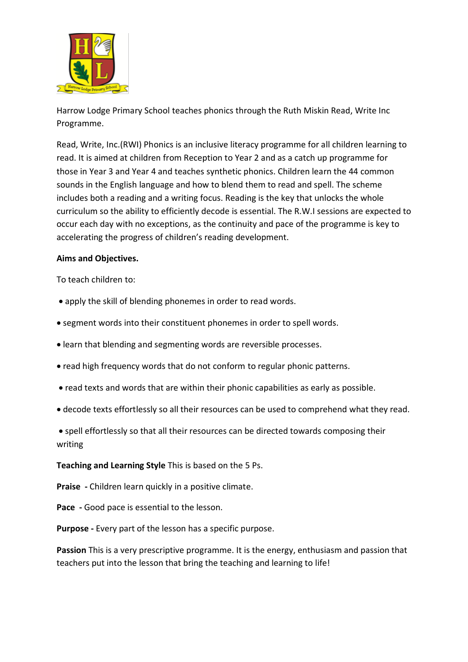

Harrow Lodge Primary School teaches phonics through the Ruth Miskin Read, Write Inc Programme.

Read, Write, Inc.(RWI) Phonics is an inclusive literacy programme for all children learning to read. It is aimed at children from Reception to Year 2 and as a catch up programme for those in Year 3 and Year 4 and teaches synthetic phonics. Children learn the 44 common sounds in the English language and how to blend them to read and spell. The scheme includes both a reading and a writing focus. Reading is the key that unlocks the whole curriculum so the ability to efficiently decode is essential. The R.W.I sessions are expected to occur each day with no exceptions, as the continuity and pace of the programme is key to accelerating the progress of children's reading development.

#### **Aims and Objectives.**

To teach children to:

- apply the skill of blending phonemes in order to read words.
- segment words into their constituent phonemes in order to spell words.
- learn that blending and segmenting words are reversible processes.
- read high frequency words that do not conform to regular phonic patterns.
- read texts and words that are within their phonic capabilities as early as possible.
- decode texts effortlessly so all their resources can be used to comprehend what they read.
- spell effortlessly so that all their resources can be directed towards composing their writing

#### **Teaching and Learning Style** This is based on the 5 Ps.

**Praise -** Children learn quickly in a positive climate.

**Pace -** Good pace is essential to the lesson.

**Purpose -** Every part of the lesson has a specific purpose.

**Passion** This is a very prescriptive programme. It is the energy, enthusiasm and passion that teachers put into the lesson that bring the teaching and learning to life!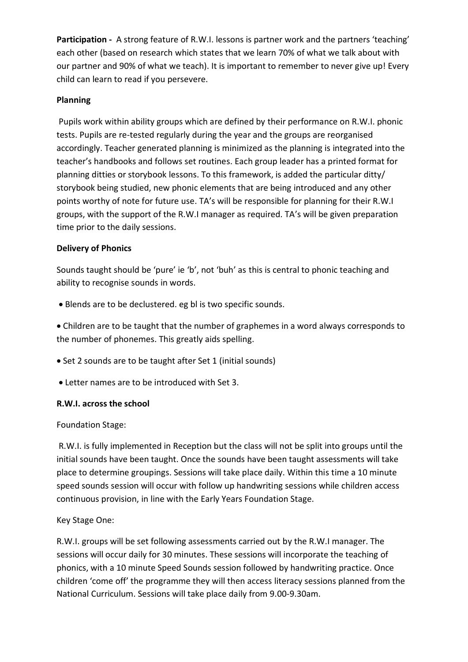**Participation -** A strong feature of R.W.I. lessons is partner work and the partners 'teaching' each other (based on research which states that we learn 70% of what we talk about with our partner and 90% of what we teach). It is important to remember to never give up! Every child can learn to read if you persevere.

## **Planning**

Pupils work within ability groups which are defined by their performance on R.W.I. phonic tests. Pupils are re-tested regularly during the year and the groups are reorganised accordingly. Teacher generated planning is minimized as the planning is integrated into the teacher's handbooks and follows set routines. Each group leader has a printed format for planning ditties or storybook lessons. To this framework, is added the particular ditty/ storybook being studied, new phonic elements that are being introduced and any other points worthy of note for future use. TA's will be responsible for planning for their R.W.I groups, with the support of the R.W.I manager as required. TA's will be given preparation time prior to the daily sessions.

# **Delivery of Phonics**

Sounds taught should be 'pure' ie 'b', not 'buh' as this is central to phonic teaching and ability to recognise sounds in words.

Blends are to be declustered. eg bl is two specific sounds.

 Children are to be taught that the number of graphemes in a word always corresponds to the number of phonemes. This greatly aids spelling.

- Set 2 sounds are to be taught after Set 1 (initial sounds)
- Letter names are to be introduced with Set 3.

## **R.W.I. across the school**

Foundation Stage:

R.W.I. is fully implemented in Reception but the class will not be split into groups until the initial sounds have been taught. Once the sounds have been taught assessments will take place to determine groupings. Sessions will take place daily. Within this time a 10 minute speed sounds session will occur with follow up handwriting sessions while children access continuous provision, in line with the Early Years Foundation Stage.

## Key Stage One:

R.W.I. groups will be set following assessments carried out by the R.W.I manager. The sessions will occur daily for 30 minutes. These sessions will incorporate the teaching of phonics, with a 10 minute Speed Sounds session followed by handwriting practice. Once children 'come off' the programme they will then access literacy sessions planned from the National Curriculum. Sessions will take place daily from 9.00-9.30am.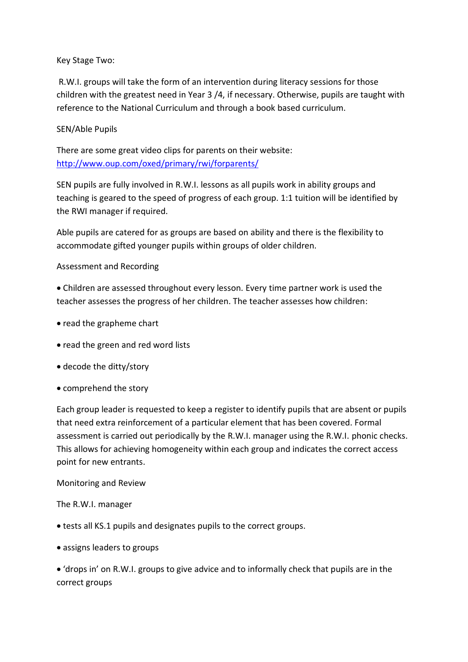Key Stage Two:

R.W.I. groups will take the form of an intervention during literacy sessions for those children with the greatest need in Year 3 /4, if necessary. Otherwise, pupils are taught with reference to the National Curriculum and through a book based curriculum.

SEN/Able Pupils

There are some great video clips for parents on their website: <http://www.oup.com/oxed/primary/rwi/forparents/>

SEN pupils are fully involved in R.W.I. lessons as all pupils work in ability groups and teaching is geared to the speed of progress of each group. 1:1 tuition will be identified by the RWI manager if required.

Able pupils are catered for as groups are based on ability and there is the flexibility to accommodate gifted younger pupils within groups of older children.

Assessment and Recording

 Children are assessed throughout every lesson. Every time partner work is used the teacher assesses the progress of her children. The teacher assesses how children:

- read the grapheme chart
- read the green and red word lists
- decode the ditty/story
- comprehend the story

Each group leader is requested to keep a register to identify pupils that are absent or pupils that need extra reinforcement of a particular element that has been covered. Formal assessment is carried out periodically by the R.W.I. manager using the R.W.I. phonic checks. This allows for achieving homogeneity within each group and indicates the correct access point for new entrants.

Monitoring and Review

The R.W.I. manager

- tests all KS.1 pupils and designates pupils to the correct groups.
- assigns leaders to groups

 'drops in' on R.W.I. groups to give advice and to informally check that pupils are in the correct groups